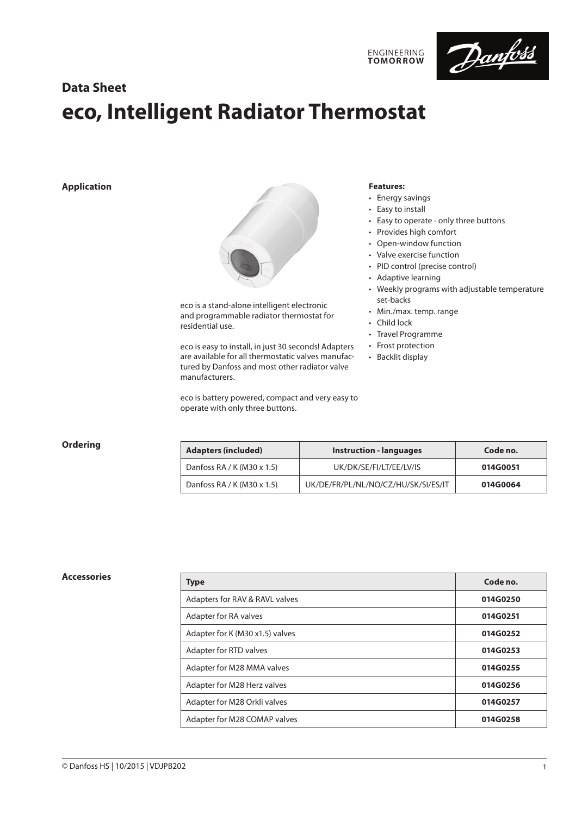

# **Data Sheet eco, Intelligent Radiator Thermostat**

### **Application**



eco is a stand-alone intelligent electronic and programmable radiator thermostat for residential use.

eco is easy to install, in just 30 seconds! Adapters are available for all thermostatic valves manufactured by Danfoss and most other radiator valve manufacturers.

eco is battery powered, compact and very easy to operate with only three buttons.

### **Features:**

• Energy savings

**ENGINEERING**<br>TOMORROW

- Easy to install
- Easy to operate only three buttons
- Provides high comfort
- Open-window function
- Valve exercise function
- PID control (precise control)
- Adaptive learning
- Weekly programs with adjustable temperature set-backs
- Min./max. temp. range
- Child lock
- Travel Programme
- Frost protection
- Backlit display

| Ordering | <b>Adapters (included)</b> | <b>Instruction - languages</b>      | Code no. |
|----------|----------------------------|-------------------------------------|----------|
|          | Danfoss RA / K (M30 x 1.5) | UK/DK/SE/FI/LT/EE/LV/IS             | 014G0051 |
|          | Danfoss RA / K (M30 x 1.5) | UK/DE/FR/PL/NL/NO/CZ/HU/SK/SI/ES/IT | 014G0064 |

| <b>Accessories</b> | <b>Type</b>                     | Code no. |
|--------------------|---------------------------------|----------|
|                    | Adapters for RAV & RAVL valves  | 014G0250 |
|                    | Adapter for RA valves           | 014G0251 |
|                    | Adapter for K (M30 x1.5) valves | 014G0252 |
|                    | Adapter for RTD valves          | 014G0253 |
|                    | Adapter for M28 MMA valves      | 014G0255 |
|                    | Adapter for M28 Herz valves     | 014G0256 |
|                    | Adapter for M28 Orkli valves    | 014G0257 |
|                    | Adapter for M28 COMAP valves    | 014G0258 |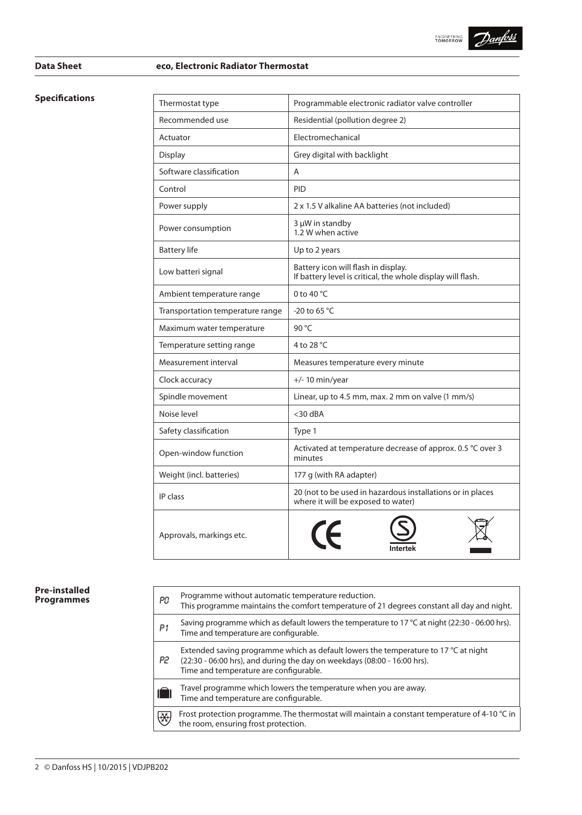

## **Data Sheet eco, Electronic Radiator Thermostat**

| <b>Specifications</b> | Thermostat type                  | Programmable electronic radiator valve controller                                                  |  |
|-----------------------|----------------------------------|----------------------------------------------------------------------------------------------------|--|
|                       | Recommended use                  | Residential (pollution degree 2)                                                                   |  |
|                       | Actuator                         | Electromechanical                                                                                  |  |
|                       | Display                          | Grey digital with backlight                                                                        |  |
|                       | Software classification          | Α                                                                                                  |  |
|                       | Control                          | <b>PID</b>                                                                                         |  |
|                       | Power supply                     | 2 x 1.5 V alkaline AA batteries (not included)                                                     |  |
|                       | Power consumption                | 3 µW in standby<br>1.2 W when active                                                               |  |
|                       | <b>Battery life</b>              | Up to 2 years                                                                                      |  |
|                       | Low batteri signal               | Battery icon will flash in display.<br>If battery level is critical, the whole display will flash. |  |
|                       | Ambient temperature range        | 0 to 40 °C                                                                                         |  |
|                       | Transportation temperature range | -20 to 65 °C                                                                                       |  |
|                       | Maximum water temperature        | 90 °C                                                                                              |  |
|                       | Temperature setting range        | 4 to 28 °C                                                                                         |  |
|                       | Measurement interval             | Measures temperature every minute                                                                  |  |
|                       | Clock accuracy                   | $+/- 10$ min/year                                                                                  |  |
|                       | Spindle movement                 | Linear, up to 4.5 mm, max. 2 mm on valve (1 mm/s)                                                  |  |
|                       | Noise level                      | $<$ 30 dBA                                                                                         |  |
|                       | Safety classification            | Type 1                                                                                             |  |
|                       | Open-window function             | Activated at temperature decrease of approx. 0.5 °C over 3<br>minutes                              |  |
|                       | Weight (incl. batteries)         | 177 g (with RA adapter)                                                                            |  |
|                       | IP class                         | 20 (not to be used in hazardous installations or in places<br>where it will be exposed to water)   |  |
|                       | Approvals, markings etc.         |                                                                                                    |  |

### **Pre-installed Programmes**

| Рû | Programme without automatic temperature reduction.<br>This programme maintains the comfort temperature of 21 degrees constant all day and night.                                                          |
|----|-----------------------------------------------------------------------------------------------------------------------------------------------------------------------------------------------------------|
| P1 | Saving programme which as default lowers the temperature to 17 °C at night (22:30 - 06:00 hrs).<br>Time and temperature are configurable.                                                                 |
| P2 | Extended saving programme which as default lowers the temperature to 17 °C at night<br>(22:30 - 06:00 hrs), and during the day on weekdays (08:00 - 16:00 hrs).<br>Time and temperature are configurable. |
|    | Travel programme which lowers the temperature when you are away.<br>Time and temperature are configurable.                                                                                                |
| 僟  | Frost protection programme. The thermostat will maintain a constant temperature of 4-10 $^{\circ}$ C in<br>the room, ensuring frost protection.                                                           |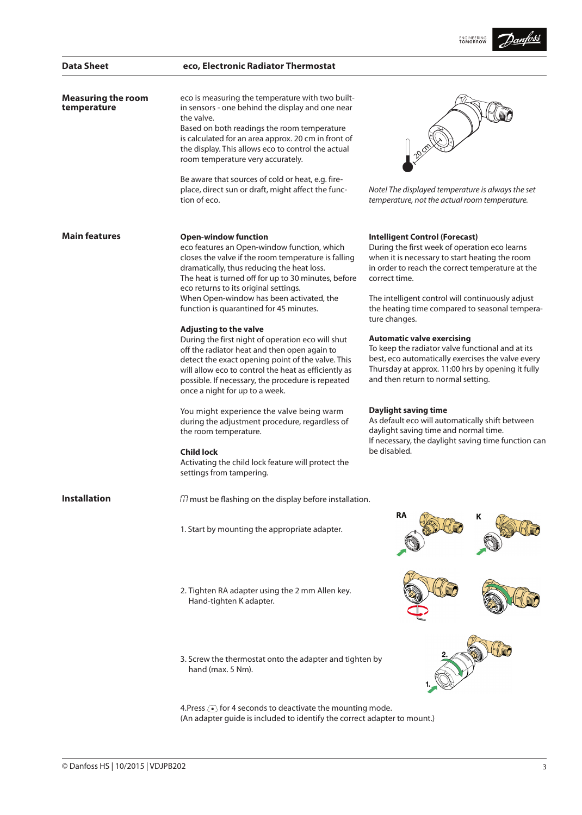|                                          |                                                                                                                                                                                                                                                                                                                                        | <b>ENGINEERING</b>                                                                                                                                                                                                                    |  |
|------------------------------------------|----------------------------------------------------------------------------------------------------------------------------------------------------------------------------------------------------------------------------------------------------------------------------------------------------------------------------------------|---------------------------------------------------------------------------------------------------------------------------------------------------------------------------------------------------------------------------------------|--|
| <b>Data Sheet</b>                        | eco, Electronic Radiator Thermostat                                                                                                                                                                                                                                                                                                    |                                                                                                                                                                                                                                       |  |
| <b>Measuring the room</b><br>temperature | eco is measuring the temperature with two built-<br>in sensors - one behind the display and one near<br>the valve.<br>Based on both readings the room temperature<br>is calculated for an area approx. 20 cm in front of<br>the display. This allows eco to control the actual<br>room temperature very accurately.                    |                                                                                                                                                                                                                                       |  |
|                                          | Be aware that sources of cold or heat, e.g. fire-<br>place, direct sun or draft, might affect the func-<br>tion of eco.                                                                                                                                                                                                                | Note! The displayed temperature is always the set<br>temperature, not the actual room temperature.                                                                                                                                    |  |
| <b>Main features</b>                     | <b>Open-window function</b><br>eco features an Open-window function, which<br>closes the valve if the room temperature is falling<br>dramatically, thus reducing the heat loss.<br>The heat is turned off for up to 30 minutes, before<br>eco returns to its original settings.                                                        | <b>Intelligent Control (Forecast)</b><br>During the first week of operation eco learns<br>when it is necessary to start heating the room<br>in order to reach the correct temperature at the<br>correct time.                         |  |
|                                          | When Open-window has been activated, the<br>function is quarantined for 45 minutes.                                                                                                                                                                                                                                                    | The intelligent control will continuously adjust<br>the heating time compared to seasonal tempera-<br>ture changes.                                                                                                                   |  |
|                                          | <b>Adjusting to the valve</b><br>During the first night of operation eco will shut<br>off the radiator heat and then open again to<br>detect the exact opening point of the valve. This<br>will allow eco to control the heat as efficiently as<br>possible. If necessary, the procedure is repeated<br>once a night for up to a week. | <b>Automatic valve exercising</b><br>To keep the radiator valve functional and at its<br>best, eco automatically exercises the valve every<br>Thursday at approx. 11:00 hrs by opening it fully<br>and then return to normal setting. |  |
|                                          | You might experience the valve being warm<br>during the adjustment procedure, regardless of<br>the room temperature.                                                                                                                                                                                                                   | <b>Daylight saving time</b><br>As default eco will automatically shift between<br>daylight saving time and normal time.<br>If necessary, the daylight saving time function can                                                        |  |
|                                          | <b>Child lock</b><br>Activating the child lock feature will protect the<br>settings from tampering.                                                                                                                                                                                                                                    | be disabled.                                                                                                                                                                                                                          |  |
| <b>Installation</b>                      | m must be flashing on the display before installation.                                                                                                                                                                                                                                                                                 |                                                                                                                                                                                                                                       |  |
|                                          | 1. Start by mounting the appropriate adapter.                                                                                                                                                                                                                                                                                          | RA<br>κ                                                                                                                                                                                                                               |  |
|                                          | 2. Tighten RA adapter using the 2 mm Allen key.<br>Hand-tighten K adapter.                                                                                                                                                                                                                                                             |                                                                                                                                                                                                                                       |  |
|                                          | 3. Screw the thermostat onto the adapter and tighten by<br>hand (max. 5 Nm).                                                                                                                                                                                                                                                           |                                                                                                                                                                                                                                       |  |

4. Press  $\ddot{\bullet}$  for 4 seconds to deactivate the mounting mode. (An adapter guide is included to identify the correct adapter to mount.)